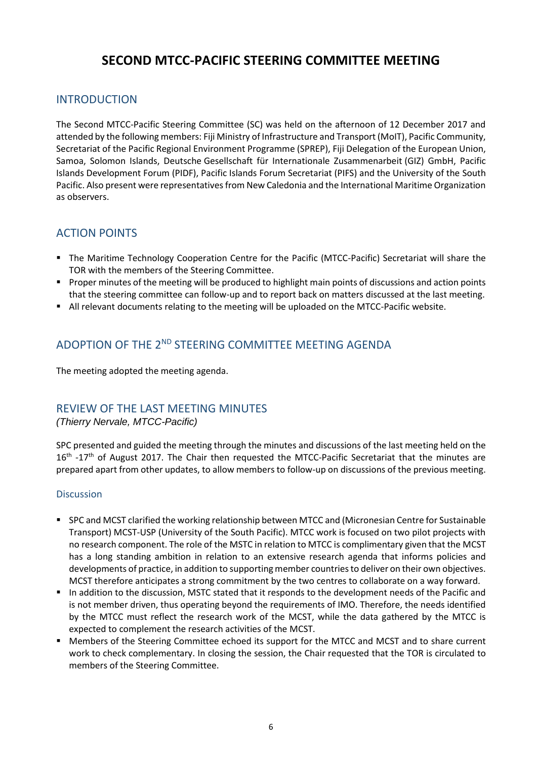# **SECOND MTCC-PACIFIC STEERING COMMITTEE MEETING**

### INTRODUCTION

The Second MTCC-Pacific Steering Committee (SC) was held on the afternoon of 12 December 2017 and attended by the following members: Fiji Ministry of Infrastructure and Transport (MoIT), Pacific Community, Secretariat of the Pacific Regional Environment Programme (SPREP), Fiji Delegation of the European Union, Samoa, Solomon Islands, Deutsche Gesellschaft für Internationale Zusammenarbeit (GIZ) GmbH, Pacific Islands Development Forum (PIDF), Pacific Islands Forum Secretariat (PIFS) and the University of the South Pacific. Also present were representatives from New Caledonia and the International Maritime Organization as observers.

## ACTION POINTS

- The Maritime Technology Cooperation Centre for the Pacific (MTCC-Pacific) Secretariat will share the TOR with the members of the Steering Committee.
- **Proper minutes of the meeting will be produced to highlight main points of discussions and action points** that the steering committee can follow-up and to report back on matters discussed at the last meeting.
- All relevant documents relating to the meeting will be uploaded on the MTCC-Pacific website.

## ADOPTION OF THE 2<sup>ND</sup> STEERING COMMITTEE MEETING AGENDA

The meeting adopted the meeting agenda.

## REVIEW OF THE LAST MEETING MINUTES

*(Thierry Nervale, MTCC-Pacific)*

SPC presented and guided the meeting through the minutes and discussions of the last meeting held on the 16<sup>th</sup> -17<sup>th</sup> of August 2017. The Chair then requested the MTCC-Pacific Secretariat that the minutes are prepared apart from other updates, to allow members to follow-up on discussions of the previous meeting.

#### Discussion

- SPC and MCST clarified the working relationship between MTCC and (Micronesian Centre for Sustainable Transport) MCST-USP (University of the South Pacific). MTCC work is focused on two pilot projects with no research component. The role of the MSTC in relation to MTCC is complimentary given that the MCST has a long standing ambition in relation to an extensive research agenda that informs policies and developments of practice, in addition to supporting member countries to deliver on their own objectives. MCST therefore anticipates a strong commitment by the two centres to collaborate on a way forward.
- In addition to the discussion, MSTC stated that it responds to the development needs of the Pacific and is not member driven, thus operating beyond the requirements of IMO. Therefore, the needs identified by the MTCC must reflect the research work of the MCST, while the data gathered by the MTCC is expected to complement the research activities of the MCST.
- Members of the Steering Committee echoed its support for the MTCC and MCST and to share current work to check complementary. In closing the session, the Chair requested that the TOR is circulated to members of the Steering Committee.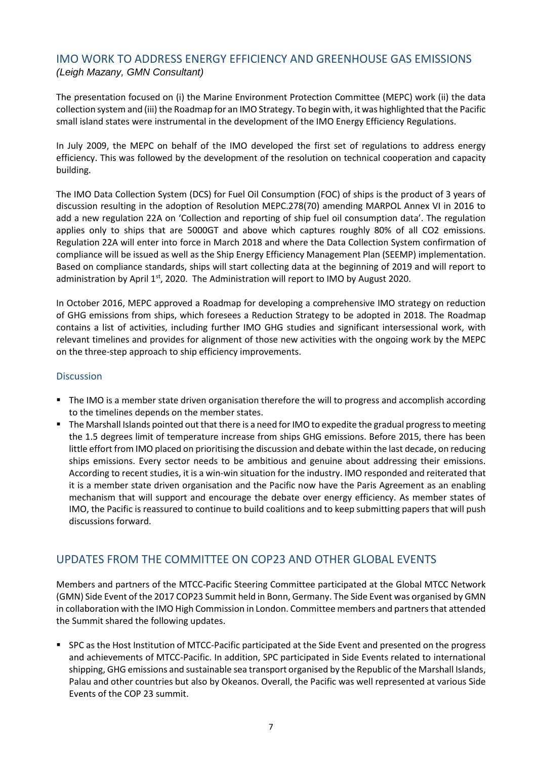### IMO WORK TO ADDRESS ENERGY EFFICIENCY AND GREENHOUSE GAS EMISSIONS *(Leigh Mazany, GMN Consultant)*

The presentation focused on (i) the Marine Environment Protection Committee (MEPC) work (ii) the data collection system and (iii) the Roadmap for an IMO Strategy. To begin with, it was highlighted that the Pacific small island states were instrumental in the development of the IMO Energy Efficiency Regulations.

In July 2009, the MEPC on behalf of the IMO developed the first set of regulations to address energy efficiency. This was followed by the development of the resolution on technical cooperation and capacity building.

The IMO Data Collection System (DCS) for Fuel Oil Consumption (FOC) of ships is the product of 3 years of discussion resulting in the adoption of Resolution MEPC.278(70) amending MARPOL Annex VI in 2016 to add a new regulation 22A on 'Collection and reporting of ship fuel oil consumption data'. The regulation applies only to ships that are 5000GT and above which captures roughly 80% of all CO2 emissions. Regulation 22A will enter into force in March 2018 and where the Data Collection System confirmation of compliance will be issued as well as the Ship Energy Efficiency Management Plan (SEEMP) implementation. Based on compliance standards, ships will start collecting data at the beginning of 2019 and will report to administration by April  $1<sup>st</sup>$ , 2020. The Administration will report to IMO by August 2020.

In October 2016, MEPC approved a Roadmap for developing a comprehensive IMO strategy on reduction of GHG emissions from ships, which foresees a Reduction Strategy to be adopted in 2018. The Roadmap contains a list of activities, including further IMO GHG studies and significant intersessional work, with relevant timelines and provides for alignment of those new activities with the ongoing work by the MEPC on the three-step approach to ship efficiency improvements.

#### **Discussion**

- The IMO is a member state driven organisation therefore the will to progress and accomplish according to the timelines depends on the member states.
- **The Marshall Islands pointed out that there is a need for IMO to expedite the gradual progress to meeting** the 1.5 degrees limit of temperature increase from ships GHG emissions. Before 2015, there has been little effort from IMO placed on prioritising the discussion and debate within the last decade, on reducing ships emissions. Every sector needs to be ambitious and genuine about addressing their emissions. According to recent studies, it is a win-win situation for the industry. IMO responded and reiterated that it is a member state driven organisation and the Pacific now have the Paris Agreement as an enabling mechanism that will support and encourage the debate over energy efficiency. As member states of IMO, the Pacific is reassured to continue to build coalitions and to keep submitting papers that will push discussions forward.

## UPDATES FROM THE COMMITTEE ON COP23 AND OTHER GLOBAL EVENTS

Members and partners of the MTCC-Pacific Steering Committee participated at the Global MTCC Network (GMN) Side Event of the 2017 COP23 Summit held in Bonn, Germany. The Side Event was organised by GMN in collaboration with the IMO High Commission in London. Committee members and partners that attended the Summit shared the following updates.

 SPC as the Host Institution of MTCC-Pacific participated at the Side Event and presented on the progress and achievements of MTCC-Pacific. In addition, SPC participated in Side Events related to international shipping, GHG emissions and sustainable sea transport organised by the Republic of the Marshall Islands, Palau and other countries but also by Okeanos. Overall, the Pacific was well represented at various Side Events of the COP 23 summit.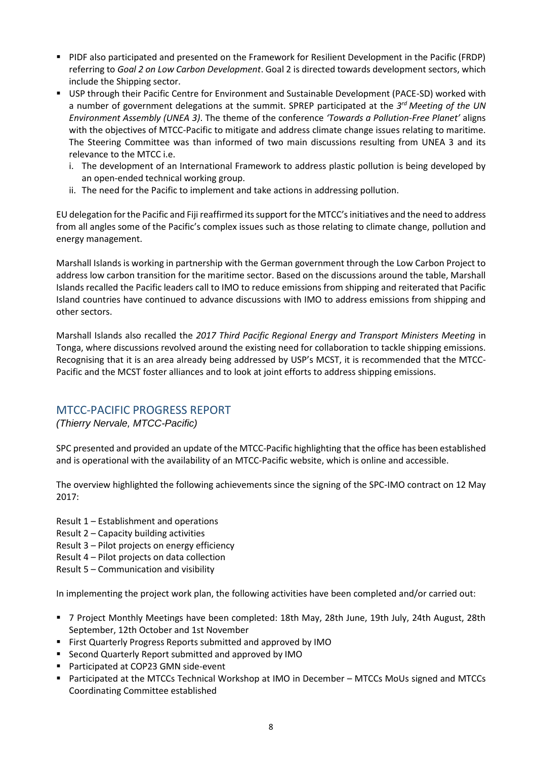- PIDF also participated and presented on the Framework for Resilient Development in the Pacific (FRDP) referring to *Goal 2 on Low Carbon Development*. Goal 2 is directed towards development sectors, which include the Shipping sector.
- USP through their Pacific Centre for Environment and Sustainable Development (PACE-SD) worked with a number of government delegations at the summit. SPREP participated at the *3 rd Meeting of the UN Environment Assembly (UNEA 3)*. The theme of the conference *'Towards a Pollution-Free Planet'* aligns with the objectives of MTCC-Pacific to mitigate and address climate change issues relating to maritime. The Steering Committee was than informed of two main discussions resulting from UNEA 3 and its relevance to the MTCC i.e.
	- i. The development of an International Framework to address plastic pollution is being developed by an open-ended technical working group.
	- ii. The need for the Pacific to implement and take actions in addressing pollution.

EU delegation for the Pacific and Fiji reaffirmed its support for the MTCC's initiatives and the need to address from all angles some of the Pacific's complex issues such as those relating to climate change, pollution and energy management.

Marshall Islands is working in partnership with the German government through the Low Carbon Project to address low carbon transition for the maritime sector. Based on the discussions around the table, Marshall Islands recalled the Pacific leaders call to IMO to reduce emissions from shipping and reiterated that Pacific Island countries have continued to advance discussions with IMO to address emissions from shipping and other sectors.

Marshall Islands also recalled the *2017 Third Pacific Regional Energy and Transport Ministers Meeting* in Tonga, where discussions revolved around the existing need for collaboration to tackle shipping emissions. Recognising that it is an area already being addressed by USP's MCST, it is recommended that the MTCC-Pacific and the MCST foster alliances and to look at joint efforts to address shipping emissions.

### MTCC-PACIFIC PROGRESS REPORT

#### *(Thierry Nervale, MTCC-Pacific)*

SPC presented and provided an update of the MTCC-Pacific highlighting that the office has been established and is operational with the availability of an MTCC-Pacific website, which is online and accessible.

The overview highlighted the following achievements since the signing of the SPC-IMO contract on 12 May 2017:

- Result 1 Establishment and operations
- Result 2 Capacity building activities
- Result 3 Pilot projects on energy efficiency
- Result 4 Pilot projects on data collection
- Result 5 Communication and visibility

In implementing the project work plan, the following activities have been completed and/or carried out:

- 7 Project Monthly Meetings have been completed: 18th May, 28th June, 19th July, 24th August, 28th September, 12th October and 1st November
- **First Quarterly Progress Reports submitted and approved by IMO**
- **E** Second Quarterly Report submitted and approved by IMO
- Participated at COP23 GMN side-event
- Participated at the MTCCs Technical Workshop at IMO in December MTCCs MoUs signed and MTCCs Coordinating Committee established